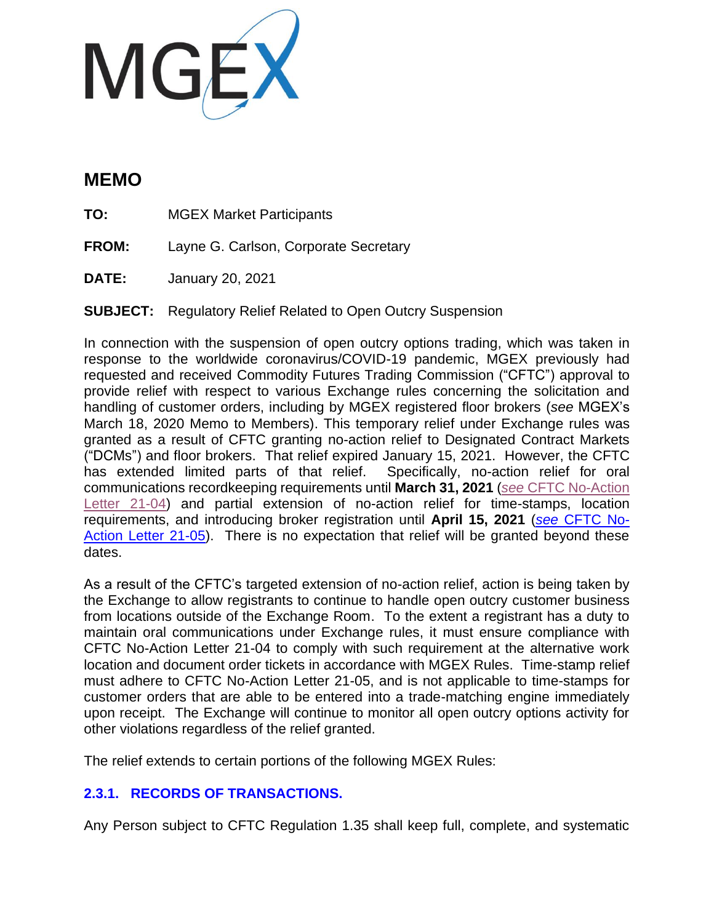

# **MEMO**

**TO:** MGEX Market Participants

**FROM:** Layne G. Carlson, Corporate Secretary

**DATE:** January 20, 2021

**SUBJECT:** Regulatory Relief Related to Open Outcry Suspension

In connection with the suspension of open outcry options trading, which was taken in response to the worldwide coronavirus/COVID-19 pandemic, MGEX previously had requested and received Commodity Futures Trading Commission ("CFTC") approval to provide relief with respect to various Exchange rules concerning the solicitation and handling of customer orders, including by MGEX registered floor brokers (*see* MGEX's March 18, 2020 Memo to Members). This temporary relief under Exchange rules was granted as a result of CFTC granting no-action relief to Designated Contract Markets ("DCMs") and floor brokers. That relief expired January 15, 2021. However, the CFTC has extended limited parts of that relief. Specifically, no-action relief for oral communications recordkeeping requirements until **March 31, 2021** (*see* [CFTC No-Action](https://www.cftc.gov/csl/21-04/download)  [Letter 21-04\)](https://www.cftc.gov/csl/21-04/download) and partial extension of no-action relief for time-stamps, location requirements, and introducing broker registration until **April 15, 2021** (*see* [CFTC No-](https://www.cftc.gov/csl/21-05/download)[Action Letter 21-05\)](https://www.cftc.gov/csl/21-05/download). There is no expectation that relief will be granted beyond these dates.

As a result of the CFTC's targeted extension of no-action relief, action is being taken by the Exchange to allow registrants to continue to handle open outcry customer business from locations outside of the Exchange Room. To the extent a registrant has a duty to maintain oral communications under Exchange rules, it must ensure compliance with CFTC No-Action Letter 21-04 to comply with such requirement at the alternative work location and document order tickets in accordance with MGEX Rules. Time-stamp relief must adhere to CFTC No-Action Letter 21-05, and is not applicable to time-stamps for customer orders that are able to be entered into a trade-matching engine immediately upon receipt. The Exchange will continue to monitor all open outcry options activity for other violations regardless of the relief granted.

The relief extends to certain portions of the following MGEX Rules:

# **2.3.1. RECORDS OF TRANSACTIONS.**

Any Person subject to CFTC Regulation 1.35 shall keep full, complete, and systematic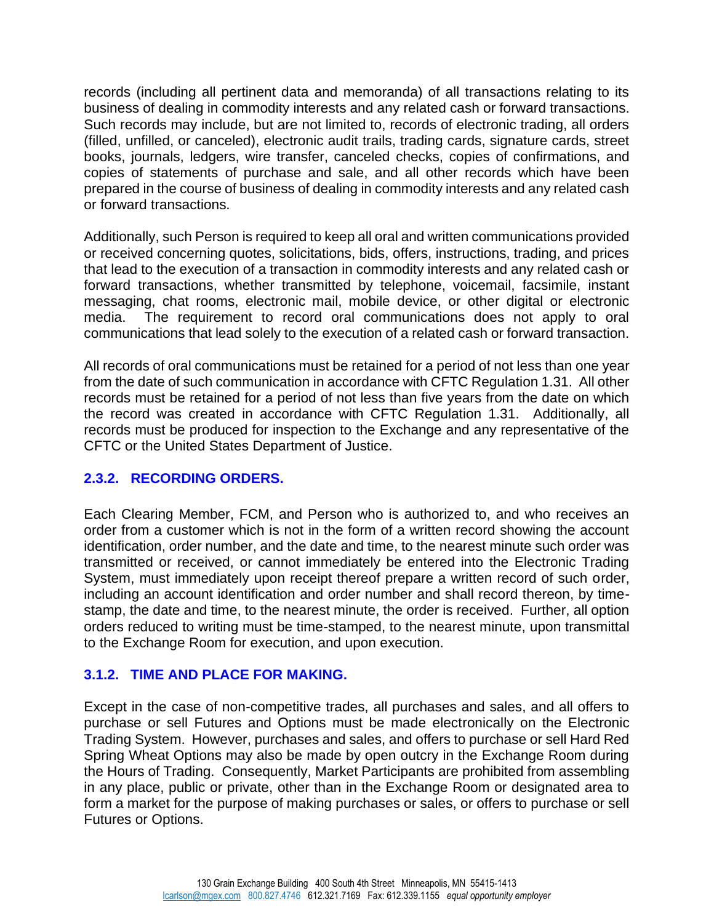records (including all pertinent data and memoranda) of all transactions relating to its business of dealing in commodity interests and any related cash or forward transactions. Such records may include, but are not limited to, records of electronic trading, all orders (filled, unfilled, or canceled), electronic audit trails, trading cards, signature cards, street books, journals, ledgers, wire transfer, canceled checks, copies of confirmations, and copies of statements of purchase and sale, and all other records which have been prepared in the course of business of dealing in commodity interests and any related cash or forward transactions.

Additionally, such Person is required to keep all oral and written communications provided or received concerning quotes, solicitations, bids, offers, instructions, trading, and prices that lead to the execution of a transaction in commodity interests and any related cash or forward transactions, whether transmitted by telephone, voicemail, facsimile, instant messaging, chat rooms, electronic mail, mobile device, or other digital or electronic media. The requirement to record oral communications does not apply to oral communications that lead solely to the execution of a related cash or forward transaction.

All records of oral communications must be retained for a period of not less than one year from the date of such communication in accordance with CFTC Regulation 1.31. All other records must be retained for a period of not less than five years from the date on which the record was created in accordance with CFTC Regulation 1.31. Additionally, all records must be produced for inspection to the Exchange and any representative of the CFTC or the United States Department of Justice.

#### **2.3.2. RECORDING ORDERS.**

Each Clearing Member, FCM, and Person who is authorized to, and who receives an order from a customer which is not in the form of a written record showing the account identification, order number, and the date and time, to the nearest minute such order was transmitted or received, or cannot immediately be entered into the Electronic Trading System, must immediately upon receipt thereof prepare a written record of such order, including an account identification and order number and shall record thereon, by timestamp, the date and time, to the nearest minute, the order is received. Further, all option orders reduced to writing must be time-stamped, to the nearest minute, upon transmittal to the Exchange Room for execution, and upon execution.

## **3.1.2. TIME AND PLACE FOR MAKING.**

Except in the case of non-competitive trades, all purchases and sales, and all offers to purchase or sell Futures and Options must be made electronically on the Electronic Trading System. However, purchases and sales, and offers to purchase or sell Hard Red Spring Wheat Options may also be made by open outcry in the Exchange Room during the Hours of Trading. Consequently, Market Participants are prohibited from assembling in any place, public or private, other than in the Exchange Room or designated area to form a market for the purpose of making purchases or sales, or offers to purchase or sell Futures or Options.